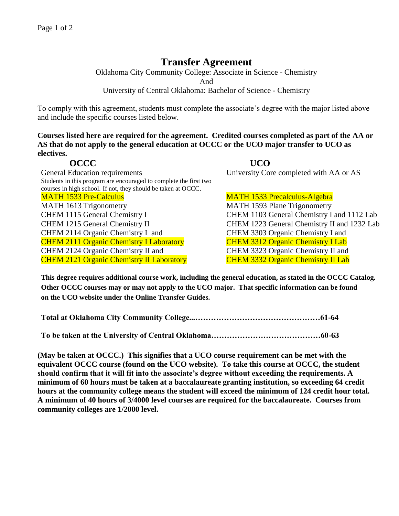## **Transfer Agreement**

Oklahoma City Community College: Associate in Science - Chemistry And University of Central Oklahoma: Bachelor of Science - Chemistry

To comply with this agreement, students must complete the associate's degree with the major listed above and include the specific courses listed below.

**Courses listed here are required for the agreement. Credited courses completed as part of the AA or AS that do not apply to the general education at OCCC or the UCO major transfer to UCO as electives.**

General Education requirements University Core completed with AA or AS Students in this program are encouraged to complete the first two courses in high school. If not, they should be taken at OCCC. MATH 1533 Pre-Calculus MATH 1533 Precalculus-Algebra MATH 1613 Trigonometry MATH 1593 Plane Trigonometry CHEM 1115 General Chemistry I CHEM 1103 General Chemistry I and 1112 Lab CHEM 1215 General Chemistry II CHEM 1223 General Chemistry II and 1232 Lab CHEM 2114 Organic Chemistry I and CHEM 3303 Organic Chemistry I and CHEM 2111 Organic Chemistry I Laboratory CHEM 3312 Organic Chemistry I Lab CHEM 2124 Organic Chemistry II and CHEM 3323 Organic Chemistry II and CHEM 2121 Organic Chemistry II Laboratory CHEM 3332 Organic Chemistry II Lab

**OCCC UCO** 

**This degree requires additional course work, including the general education, as stated in the OCCC Catalog. Other OCCC courses may or may not apply to the UCO major. That specific information can be found on the UCO website under the Online Transfer Guides.** 

**Total at Oklahoma City Community College...…………………………………………61-64**

**To be taken at the University of Central Oklahoma……………………………………60-63**

**(May be taken at OCCC.) This signifies that a UCO course requirement can be met with the equivalent OCCC course (found on the UCO website). To take this course at OCCC, the student should confirm that it will fit into the associate's degree without exceeding the requirements. A minimum of 60 hours must be taken at a baccalaureate granting institution, so exceeding 64 credit hours at the community college means the student will exceed the minimum of 124 credit hour total. A minimum of 40 hours of 3/4000 level courses are required for the baccalaureate. Courses from community colleges are 1/2000 level.**